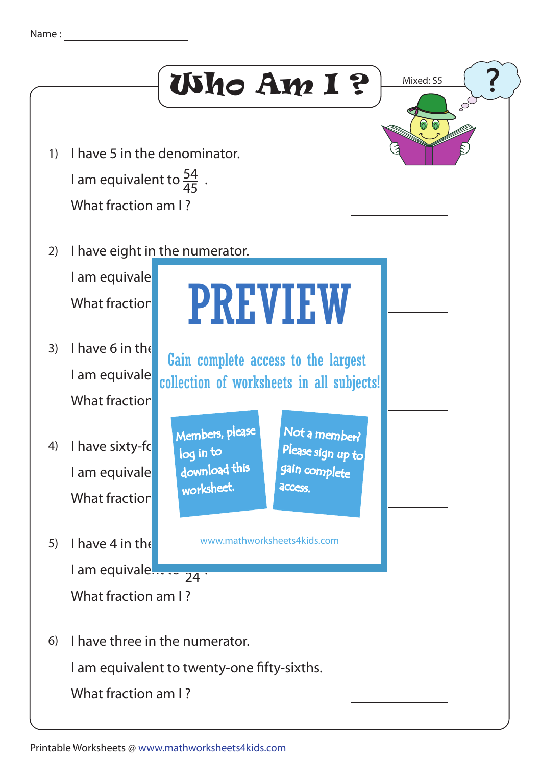